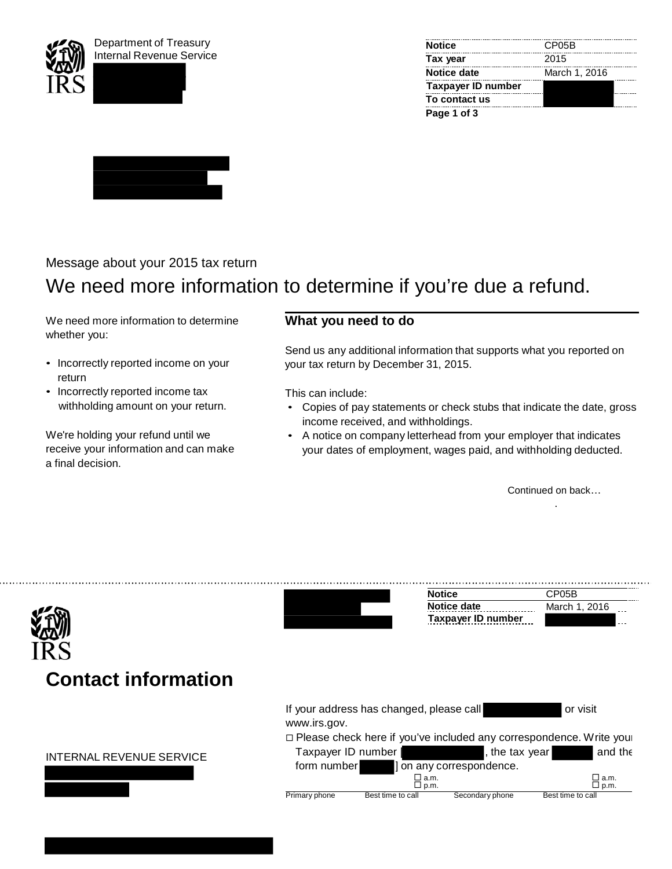





## Message about your 2015 tax return

# We need more information to determine if you're due a refund.

We need more information to determine whether you:

- Incorrectly reported income on your return
- Incorrectly reported income tax withholding amount on your return.

We're holding your refund until we receive your information and can make a final decision.

### **What you need to do**

Send us any additional information that supports what you reported on your tax return by December 31, 2015.

This can include:

- Copies of pay statements or check stubs that indicate the date, gross income received, and withholdings.
- A notice on company letterhead from your employer that indicates your dates of employment, wages paid, and withholding deducted.

Continued on back… .

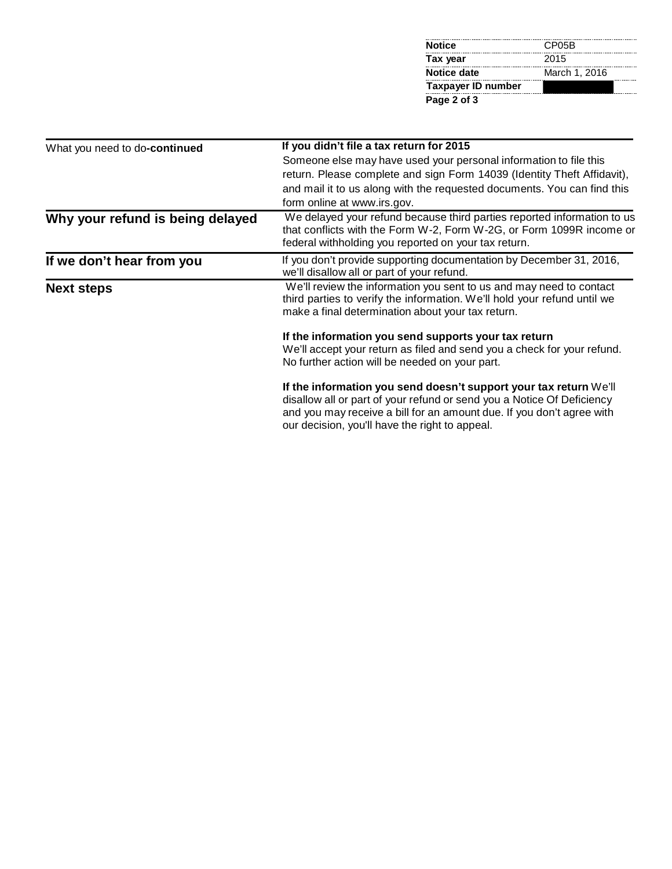| <b>Notice</b>      | CP05B         |  |
|--------------------|---------------|--|
| Tax year           | 2015          |  |
| <b>Notice date</b> | March 1, 2016 |  |
| Taxpayer ID number |               |  |
| Page 2 of 3        |               |  |

| What you need to do-continued    | If you didn't file a tax return for 2015                                                                                                                                                                                                                               |
|----------------------------------|------------------------------------------------------------------------------------------------------------------------------------------------------------------------------------------------------------------------------------------------------------------------|
|                                  | Someone else may have used your personal information to file this                                                                                                                                                                                                      |
|                                  | return. Please complete and sign Form 14039 (Identity Theft Affidavit),                                                                                                                                                                                                |
|                                  | and mail it to us along with the requested documents. You can find this                                                                                                                                                                                                |
|                                  | form online at www.irs.gov.                                                                                                                                                                                                                                            |
| Why your refund is being delayed | We delayed your refund because third parties reported information to us<br>that conflicts with the Form W-2, Form W-2G, or Form 1099R income or<br>federal withholding you reported on your tax return.                                                                |
| If we don't hear from you        | If you don't provide supporting documentation by December 31, 2016,<br>we'll disallow all or part of your refund.                                                                                                                                                      |
| <b>Next steps</b>                | We'll review the information you sent to us and may need to contact<br>third parties to verify the information. We'll hold your refund until we<br>make a final determination about your tax return.                                                                   |
|                                  | If the information you send supports your tax return                                                                                                                                                                                                                   |
|                                  | We'll accept your return as filed and send you a check for your refund.                                                                                                                                                                                                |
|                                  | No further action will be needed on your part.                                                                                                                                                                                                                         |
|                                  | If the information you send doesn't support your tax return We'll<br>disallow all or part of your refund or send you a Notice Of Deficiency<br>and you may receive a bill for an amount due. If you don't agree with<br>our decision, you'll have the right to appeal. |